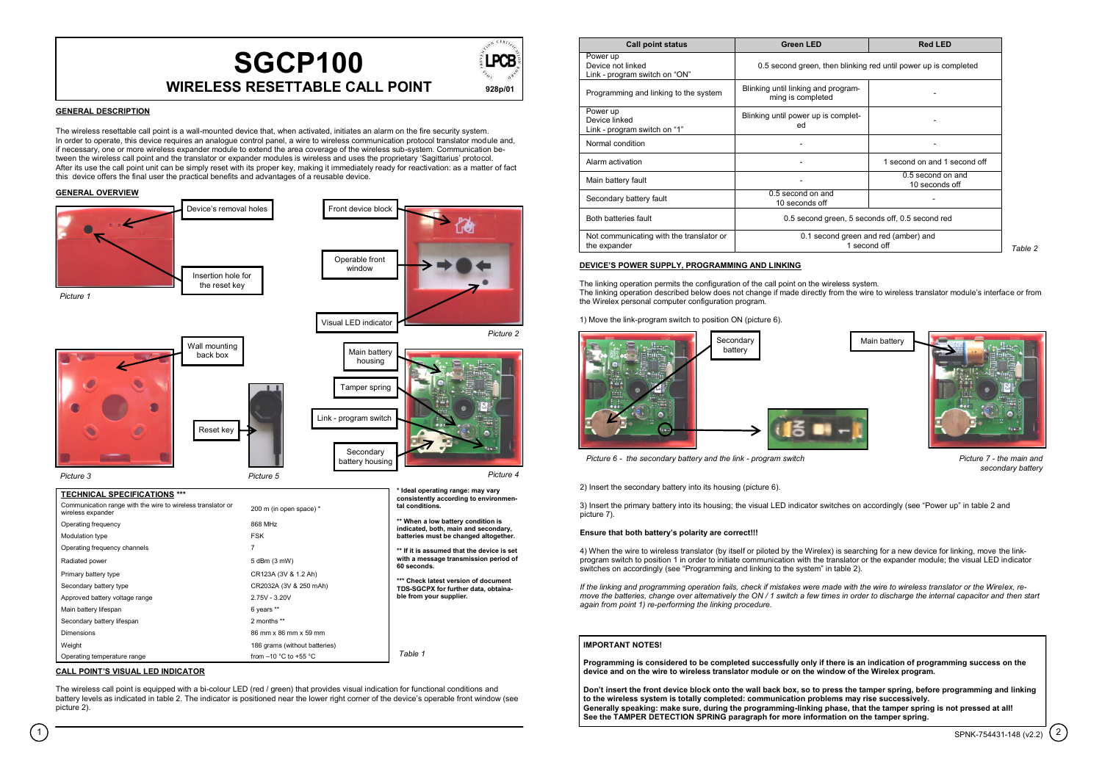

### **GENERAL DESCRIPTION**

The wireless resettable call point is a wall-mounted device that, when activated, initiates an alarm on the fire security system. In order to operate, this device requires an analogue control panel, a wire to wireless communication protocol translator module and, if necessary, one or more wireless expander module to extend the area coverage of the wireless sub-system. Communication between the wireless call point and the translator or expander modules is wireless and uses the proprietary "Sagittarius" protocol. After its use the call point unit can be simply reset with its proper key, making it immediately ready for reactivation: as a matter of fact this device offers the final user the practical benefits and advantages of a reusable device.

# **GENERAL OVERVIEW**



# **CALL POINT'S VISUAL LED INDICATOR**

The wireless call point is equipped with a bi-colour LED (red / green) that provides visual indication for functional conditions and battery levels as indicated in table 2. The indicator is positioned near the lower right corner of the device"s operable front window (see picture 2).

| <b>Call point status</b>                                       | <b>Green LED</b>                                                | <b>Red LED</b>                      |
|----------------------------------------------------------------|-----------------------------------------------------------------|-------------------------------------|
| Power up<br>Device not linked<br>Link - program switch on "ON" | 0.5 second green, then blinking red until power up is completed |                                     |
| Programming and linking to the system                          | Blinking until linking and program-<br>ming is completed        |                                     |
| Power up<br>Device linked<br>Link - program switch on "1"      | Blinking until power up is complet-<br>ed                       |                                     |
| Normal condition                                               |                                                                 |                                     |
| Alarm activation                                               | ۰                                                               | 1 second on and 1 second off        |
| Main battery fault                                             |                                                                 | 0.5 second on and<br>10 seconds off |
| Secondary battery fault                                        | 0.5 second on and<br>10 seconds off                             |                                     |
| Both batteries fault                                           | 0.5 second green, 5 seconds off, 0.5 second red                 |                                     |
| Not communicating with the translator or<br>the expander       | 0.1 second green and red (amber) and<br>1 second off            |                                     |

# **DEVICE'S POWER SUPPLY, PROGRAMMING AND LINKING**

The linking operation permits the configuration of the call point on the wireless system. The linking operation described below does not change if made directly from the wire to wireless translator module"s interface or from the Wirelex personal computer configuration program.

1) Move the link-program switch to position ON (picture 6).



*Picture 6 - the secondary battery and the link - program switch Picture 7 - the main and* 

2) Insert the secondary battery into its housing (picture 6).

3) Insert the primary battery into its housing; the visual LED indicator switches on accordingly (see "Power up" in table 2 and picture 7).

#### **Ensure that both battery's polarity are correct!!!**

4) When the wire to wireless translator (by itself or piloted by the Wirelex) is searching for a new device for linking, move the linkprogram switch to position 1 in order to initiate communication with the translator or the expander module; the visual LED indicator switches on accordingly (see "Programming and linking to the system" in table 2).

*If the linking and programming operation fails, check if mistakes were made with the wire to wireless translator or the Wirelex, remove the batteries, change over alternatively the ON / 1 switch a few times in order to discharge the internal capacitor and then start again from point 1) re-performing the linking procedure.*

### **IMPORTANT NOTES!**

**Programming is considered to be completed successfully only if there is an indication of programming success on the device and on the wire to wireless translator module or on the window of the Wirelex program.**

**Don't insert the front device block onto the wall back box, so to press the tamper spring, before programming and linking to the wireless system is totally completed: communication problems may rise successively. Generally speaking: make sure, during the programming-linking phase, that the tamper spring is not pressed at all! See the TAMPER DETECTION SPRING paragraph for more information on the tamper spring.**

*secondary battery*